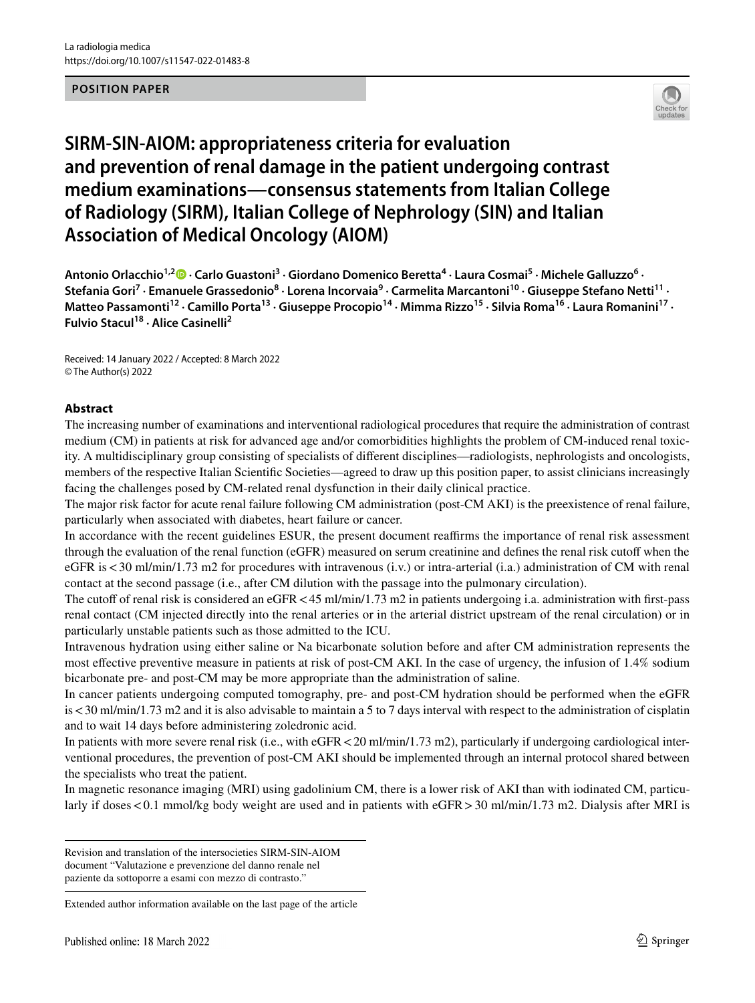#### **POSITION PAPER**



# **SIRM‑SIN‑AIOM: appropriateness criteria for evaluation and prevention of renal damage in the patient undergoing contrast medium examinations—consensus statements from Italian College of Radiology (SIRM), Italian College of Nephrology (SIN) and Italian Association of Medical Oncology (AIOM)**

AntonioOrlacchio<sup>1,2</sup><sup>®</sup> · Carlo Guastoni<sup>3</sup> · Giordano Domenico Beretta<sup>4</sup> · Laura Cosmai<sup>5</sup> · Michele Galluzzo<sup>6</sup> · Stefania Gori<sup>7</sup> · Emanuele Grassedonio<sup>8</sup> · Lorena Incorvaia<sup>9</sup> · Carmelita Marcantoni<sup>10</sup> · Giuseppe Stefano Netti<sup>11</sup> · Matteo Passamonti<sup>12</sup> · Camillo Porta<sup>13</sup> · Giuseppe Procopio<sup>14</sup> · Mimma Rizzo<sup>15</sup> · Silvia Roma<sup>16</sup> · Laura Romanini<sup>17</sup> · **Fulvio Stacul18 · Alice Casinelli2**

Received: 14 January 2022 / Accepted: 8 March 2022 © The Author(s) 2022

#### **Abstract**

The increasing number of examinations and interventional radiological procedures that require the administration of contrast medium (CM) in patients at risk for advanced age and/or comorbidities highlights the problem of CM-induced renal toxicity. A multidisciplinary group consisting of specialists of diferent disciplines—radiologists, nephrologists and oncologists, members of the respective Italian Scientific Societies—agreed to draw up this position paper, to assist clinicians increasingly facing the challenges posed by CM-related renal dysfunction in their daily clinical practice.

The major risk factor for acute renal failure following CM administration (post-CM AKI) is the preexistence of renal failure, particularly when associated with diabetes, heart failure or cancer.

In accordance with the recent guidelines ESUR, the present document reaffirms the importance of renal risk assessment through the evaluation of the renal function (eGFR) measured on serum creatinine and defnes the renal risk cutof when the eGFR is<30 ml/min/1.73 m2 for procedures with intravenous (i.v.) or intra-arterial (i.a.) administration of CM with renal contact at the second passage (i.e., after CM dilution with the passage into the pulmonary circulation).

The cutoff of renal risk is considered an eGFR < 45 ml/min/1.73 m2 in patients undergoing i.a. administration with first-pass renal contact (CM injected directly into the renal arteries or in the arterial district upstream of the renal circulation) or in particularly unstable patients such as those admitted to the ICU.

Intravenous hydration using either saline or Na bicarbonate solution before and after CM administration represents the most efective preventive measure in patients at risk of post-CM AKI. In the case of urgency, the infusion of 1.4% sodium bicarbonate pre- and post-CM may be more appropriate than the administration of saline.

In cancer patients undergoing computed tomography, pre- and post-CM hydration should be performed when the eGFR is<30 ml/min/1.73 m2 and it is also advisable to maintain a 5 to 7 days interval with respect to the administration of cisplatin and to wait 14 days before administering zoledronic acid.

In patients with more severe renal risk (i.e., with eGFR < 20 ml/min/1.73 m2), particularly if undergoing cardiological interventional procedures, the prevention of post-CM AKI should be implemented through an internal protocol shared between the specialists who treat the patient.

In magnetic resonance imaging (MRI) using gadolinium CM, there is a lower risk of AKI than with iodinated CM, particularly if doses <0.1 mmol/kg body weight are used and in patients with eGFR > 30 ml/min/1.73 m2. Dialysis after MRI is

Revision and translation of the intersocieties SIRM-SIN-AIOM document "Valutazione e prevenzione del danno renale nel paziente da sottoporre a esami con mezzo di contrasto."

Extended author information available on the last page of the article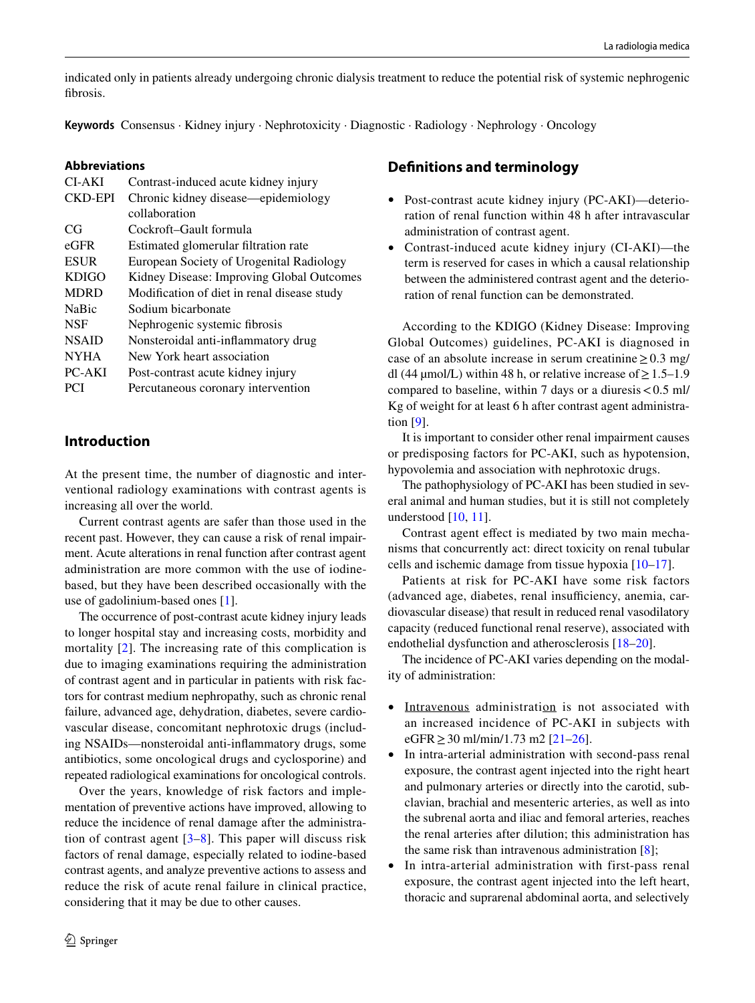indicated only in patients already undergoing chronic dialysis treatment to reduce the potential risk of systemic nephrogenic fbrosis.

**Keywords** Consensus · Kidney injury · Nephrotoxicity · Diagnostic · Radiology · Nephrology · Oncology

#### **Abbreviations**

| CI-AKI       | Contrast-induced acute kidney injury        |
|--------------|---------------------------------------------|
| CKD-EPI      | Chronic kidney disease—epidemiology         |
|              | collaboration                               |
| CG           | Cockroft–Gault formula                      |
| $e$ GFR      | Estimated glomerular filtration rate        |
| <b>ESUR</b>  | European Society of Urogenital Radiology    |
| <b>KDIGO</b> | Kidney Disease: Improving Global Outcomes   |
| <b>MDRD</b>  | Modification of diet in renal disease study |
| <b>NaBic</b> | Sodium bicarbonate                          |
| <b>NSF</b>   | Nephrogenic systemic fibrosis               |
| <b>NSAID</b> | Nonsteroidal anti-inflammatory drug         |
| <b>NYHA</b>  | New York heart association                  |
| PC-AKI       | Post-contrast acute kidney injury           |
| <b>PCI</b>   | Percutaneous coronary intervention          |
|              |                                             |

### **Introduction**

At the present time, the number of diagnostic and interventional radiology examinations with contrast agents is increasing all over the world.

Current contrast agents are safer than those used in the recent past. However, they can cause a risk of renal impairment. Acute alterations in renal function after contrast agent administration are more common with the use of iodinebased, but they have been described occasionally with the use of gadolinium-based ones [[1\]](#page-5-0).

The occurrence of post-contrast acute kidney injury leads to longer hospital stay and increasing costs, morbidity and mortality [\[2](#page-5-1)]. The increasing rate of this complication is due to imaging examinations requiring the administration of contrast agent and in particular in patients with risk factors for contrast medium nephropathy, such as chronic renal failure, advanced age, dehydration, diabetes, severe cardiovascular disease, concomitant nephrotoxic drugs (including NSAIDs—nonsteroidal anti-infammatory drugs, some antibiotics, some oncological drugs and cyclosporine) and repeated radiological examinations for oncological controls.

Over the years, knowledge of risk factors and implementation of preventive actions have improved, allowing to reduce the incidence of renal damage after the administration of contrast agent [[3–](#page-5-2)[8](#page-5-3)]. This paper will discuss risk factors of renal damage, especially related to iodine-based contrast agents, and analyze preventive actions to assess and reduce the risk of acute renal failure in clinical practice, considering that it may be due to other causes.

- Post-contrast acute kidney injury (PC-AKI)—deterioration of renal function within 48 h after intravascular administration of contrast agent.
- Contrast-induced acute kidney injury (CI-AKI)—the term is reserved for cases in which a causal relationship between the administered contrast agent and the deterioration of renal function can be demonstrated.

According to the KDIGO (Kidney Disease: Improving Global Outcomes) guidelines, PC-AKI is diagnosed in case of an absolute increase in serum creatinine  $\geq 0.3$  mg/ dl (44 µmol/L) within 48 h, or relative increase of  $\geq 1.5-1.9$ compared to baseline, within 7 days or a diuresis  $< 0.5$  ml/ Kg of weight for at least 6 h after contrast agent administration [[9\]](#page-5-4).

It is important to consider other renal impairment causes or predisposing factors for PC-AKI, such as hypotension, hypovolemia and association with nephrotoxic drugs.

The pathophysiology of PC-AKI has been studied in several animal and human studies, but it is still not completely understood [[10,](#page-5-5) [11\]](#page-6-0).

Contrast agent effect is mediated by two main mechanisms that concurrently act: direct toxicity on renal tubular cells and ischemic damage from tissue hypoxia [[10–](#page-5-5)[17\]](#page-6-1).

Patients at risk for PC-AKI have some risk factors (advanced age, diabetes, renal insufficiency, anemia, cardiovascular disease) that result in reduced renal vasodilatory capacity (reduced functional renal reserve), associated with endothelial dysfunction and atherosclerosis [[18–](#page-6-2)[20\]](#page-6-3).

The incidence of PC-AKI varies depending on the modality of administration:

- Intravenous administration is not associated with an increased incidence of PC-AKI in subjects with eGFR ≥ 30 ml/min/1.73 m2 [\[21](#page-6-4)[–26\]](#page-6-5).
- In intra-arterial administration with second-pass renal exposure, the contrast agent injected into the right heart and pulmonary arteries or directly into the carotid, subclavian, brachial and mesenteric arteries, as well as into the subrenal aorta and iliac and femoral arteries, reaches the renal arteries after dilution; this administration has the same risk than intravenous administration [\[8](#page-5-3)];
- In intra-arterial administration with first-pass renal exposure, the contrast agent injected into the left heart, thoracic and suprarenal abdominal aorta, and selectively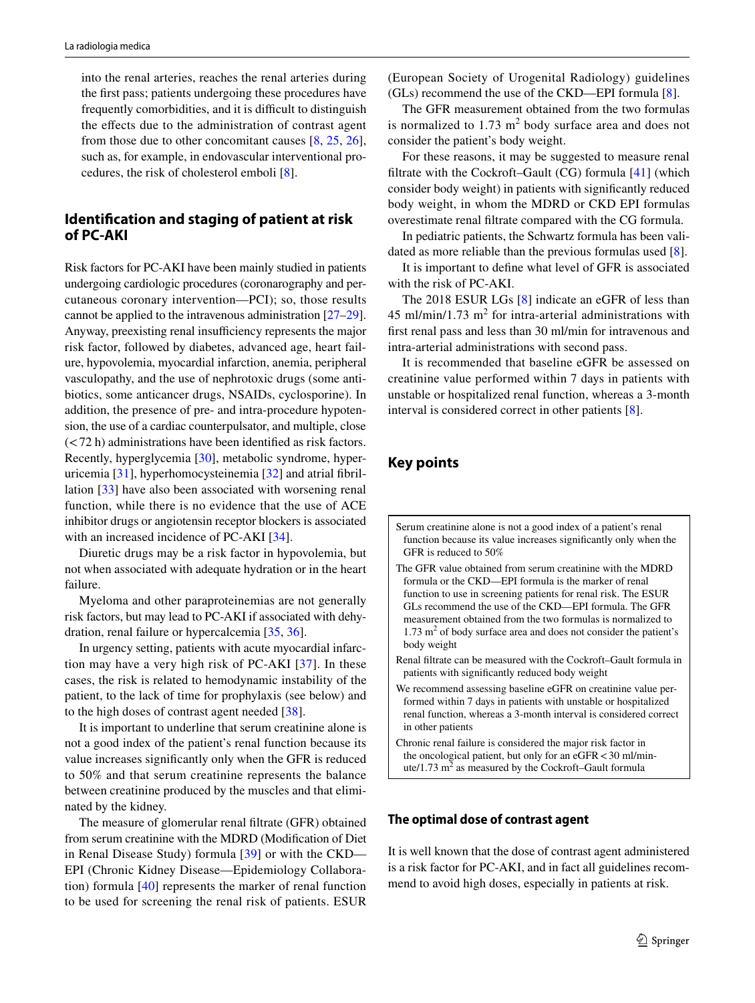into the renal arteries, reaches the renal arteries during the frst pass; patients undergoing these procedures have frequently comorbidities, and it is difficult to distinguish the effects due to the administration of contrast agent from those due to other concomitant causes [\[8](#page-5-3), [25,](#page-6-6) [26](#page-6-5)], such as, for example, in endovascular interventional procedures, the risk of cholesterol emboli [[8](#page-5-3)].

# **Identifcation and staging of patient at risk of PC‑AKI**

Risk factors for PC-AKI have been mainly studied in patients undergoing cardiologic procedures (coronarography and percutaneous coronary intervention—PCI); so, those results cannot be applied to the intravenous administration [\[27](#page-6-7)[–29](#page-6-8)]. Anyway, preexisting renal insufficiency represents the major risk factor, followed by diabetes, advanced age, heart failure, hypovolemia, myocardial infarction, anemia, peripheral vasculopathy, and the use of nephrotoxic drugs (some antibiotics, some anticancer drugs, NSAIDs, cyclosporine). In addition, the presence of pre- and intra-procedure hypotension, the use of a cardiac counterpulsator, and multiple, close (<72 h) administrations have been identifed as risk factors. Recently, hyperglycemia [[30\]](#page-6-9), metabolic syndrome, hyperuricemia [\[31](#page-6-10)], hyperhomocysteinemia [[32](#page-6-11)] and atrial fbrillation [\[33](#page-6-12)] have also been associated with worsening renal function, while there is no evidence that the use of ACE inhibitor drugs or angiotensin receptor blockers is associated with an increased incidence of PC-AKI [\[34](#page-6-13)].

Diuretic drugs may be a risk factor in hypovolemia, but not when associated with adequate hydration or in the heart failure.

Myeloma and other paraproteinemias are not generally risk factors, but may lead to PC-AKI if associated with dehydration, renal failure or hypercalcemia [\[35](#page-6-14), [36](#page-6-15)].

In urgency setting, patients with acute myocardial infarction may have a very high risk of PC-AKI [\[37\]](#page-6-16). In these cases, the risk is related to hemodynamic instability of the patient, to the lack of time for prophylaxis (see below) and to the high doses of contrast agent needed [\[38](#page-6-17)].

It is important to underline that serum creatinine alone is not a good index of the patient's renal function because its value increases signifcantly only when the GFR is reduced to 50% and that serum creatinine represents the balance between creatinine produced by the muscles and that eliminated by the kidney.

The measure of glomerular renal fltrate (GFR) obtained from serum creatinine with the MDRD (Modifcation of Diet in Renal Disease Study) formula [[39\]](#page-6-18) or with the CKD— EPI (Chronic Kidney Disease—Epidemiology Collaboration) formula [[40](#page-6-19)] represents the marker of renal function to be used for screening the renal risk of patients. ESUR

(European Society of Urogenital Radiology) guidelines (GLs) recommend the use of the CKD—EPI formula [[8\]](#page-5-3).

The GFR measurement obtained from the two formulas is normalized to  $1.73 \text{ m}^2$  body surface area and does not consider the patient's body weight.

For these reasons, it may be suggested to measure renal fltrate with the Cockroft–Gault (CG) formula [\[41](#page-6-20)] (which consider body weight) in patients with signifcantly reduced body weight, in whom the MDRD or CKD EPI formulas overestimate renal fltrate compared with the CG formula.

In pediatric patients, the Schwartz formula has been validated as more reliable than the previous formulas used [[8\]](#page-5-3).

It is important to defne what level of GFR is associated with the risk of PC-AKI.

The 2018 ESUR LGs [[8\]](#page-5-3) indicate an eGFR of less than  $45 \text{ ml/min}/1.73 \text{ m}^2$  for intra-arterial administrations with frst renal pass and less than 30 ml/min for intravenous and intra-arterial administrations with second pass.

It is recommended that baseline eGFR be assessed on creatinine value performed within 7 days in patients with unstable or hospitalized renal function, whereas a 3-month interval is considered correct in other patients [[8\]](#page-5-3).

# **Key points**

Serum creatinine alone is not a good index of a patient's renal function because its value increases signifcantly only when the GFR is reduced to 50%

The GFR value obtained from serum creatinine with the MDRD formula or the CKD—EPI formula is the marker of renal function to use in screening patients for renal risk. The ESUR GLs recommend the use of the CKD—EPI formula. The GFR measurement obtained from the two formulas is normalized to 1.73 m<sup>2</sup> of body surface area and does not consider the patient's body weight

Renal fltrate can be measured with the Cockroft–Gault formula in patients with signifcantly reduced body weight

- We recommend assessing baseline eGFR on creatinine value performed within 7 days in patients with unstable or hospitalized renal function, whereas a 3-month interval is considered correct in other patients
- Chronic renal failure is considered the major risk factor in the oncological patient, but only for an  $e$ GFR $<$ 30 ml/minute/1.73  $m^2$  as measured by the Cockroft–Gault formula

#### **The optimal dose of contrast agent**

It is well known that the dose of contrast agent administered is a risk factor for PC-AKI, and in fact all guidelines recommend to avoid high doses, especially in patients at risk.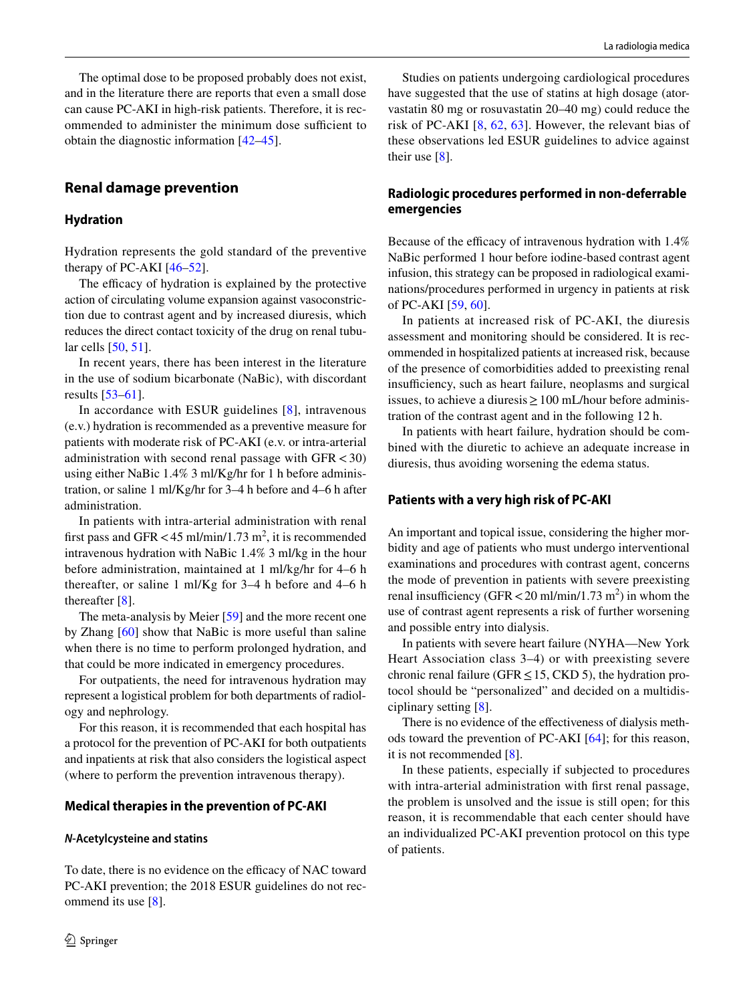The optimal dose to be proposed probably does not exist, and in the literature there are reports that even a small dose can cause PC-AKI in high-risk patients. Therefore, it is recommended to administer the minimum dose sufficient to obtain the diagnostic information [\[42](#page-6-21)[–45](#page-7-0)].

# **Renal damage prevention**

### **Hydration**

Hydration represents the gold standard of the preventive therapy of PC-AKI [[46–](#page-7-1)[52](#page-7-2)].

The efficacy of hydration is explained by the protective action of circulating volume expansion against vasoconstriction due to contrast agent and by increased diuresis, which reduces the direct contact toxicity of the drug on renal tubular cells [[50,](#page-7-3) [51\]](#page-7-4).

In recent years, there has been interest in the literature in the use of sodium bicarbonate (NaBic), with discordant results [\[53](#page-7-5)[–61\]](#page-7-6).

In accordance with ESUR guidelines [\[8\]](#page-5-3), intravenous (e.v.) hydration is recommended as a preventive measure for patients with moderate risk of PC-AKI (e.v. or intra-arterial administration with second renal passage with  $GFR < 30$ ) using either NaBic 1.4% 3 ml/Kg/hr for 1 h before administration, or saline 1 ml/Kg/hr for 3–4 h before and 4–6 h after administration.

In patients with intra-arterial administration with renal first pass and GFR < 45 ml/min/1.73 m<sup>2</sup>, it is recommended intravenous hydration with NaBic 1.4% 3 ml/kg in the hour before administration, maintained at 1 ml/kg/hr for 4–6 h thereafter, or saline 1 ml/Kg for 3–4 h before and 4–6 h thereafter [[8\]](#page-5-3).

The meta-analysis by Meier [[59](#page-7-7)] and the more recent one by Zhang [\[60](#page-7-8)] show that NaBic is more useful than saline when there is no time to perform prolonged hydration, and that could be more indicated in emergency procedures.

For outpatients, the need for intravenous hydration may represent a logistical problem for both departments of radiology and nephrology.

For this reason, it is recommended that each hospital has a protocol for the prevention of PC-AKI for both outpatients and inpatients at risk that also considers the logistical aspect (where to perform the prevention intravenous therapy).

#### **Medical therapies in the prevention of PC‑AKI**

#### *N***‑Acetylcysteine and statins**

To date, there is no evidence on the efficacy of NAC toward PC-AKI prevention; the 2018 ESUR guidelines do not recommend its use [\[8](#page-5-3)].

Studies on patients undergoing cardiological procedures have suggested that the use of statins at high dosage (atorvastatin 80 mg or rosuvastatin 20–40 mg) could reduce the risk of PC-AKI [[8,](#page-5-3) [62,](#page-7-9) [63\]](#page-7-10). However, the relevant bias of these observations led ESUR guidelines to advice against their use [[8\]](#page-5-3).

### **Radiologic procedures performed in non‑deferrable emergencies**

Because of the efficacy of intravenous hydration with 1.4% NaBic performed 1 hour before iodine-based contrast agent infusion, this strategy can be proposed in radiological examinations/procedures performed in urgency in patients at risk of PC-AKI [\[59](#page-7-7), [60](#page-7-8)].

In patients at increased risk of PC-AKI, the diuresis assessment and monitoring should be considered. It is recommended in hospitalized patients at increased risk, because of the presence of comorbidities added to preexisting renal insufficiency, such as heart failure, neoplasms and surgical issues, to achieve a diuresis≥100 mL/hour before administration of the contrast agent and in the following 12 h.

In patients with heart failure, hydration should be combined with the diuretic to achieve an adequate increase in diuresis, thus avoiding worsening the edema status.

#### **Patients with a very high risk of PC‑AKI**

An important and topical issue, considering the higher morbidity and age of patients who must undergo interventional examinations and procedures with contrast agent, concerns the mode of prevention in patients with severe preexisting renal insufficiency (GFR  $<$  20 ml/min/1.73 m<sup>2</sup>) in whom the use of contrast agent represents a risk of further worsening and possible entry into dialysis.

In patients with severe heart failure (NYHA—New York Heart Association class 3–4) or with preexisting severe chronic renal failure (GFR  $\leq$  15, CKD 5), the hydration protocol should be "personalized" and decided on a multidisciplinary setting [[8\]](#page-5-3).

There is no evidence of the effectiveness of dialysis methods toward the prevention of PC-AKI [[64\]](#page-7-11); for this reason, it is not recommended [[8\]](#page-5-3).

In these patients, especially if subjected to procedures with intra-arterial administration with first renal passage, the problem is unsolved and the issue is still open; for this reason, it is recommendable that each center should have an individualized PC-AKI prevention protocol on this type of patients.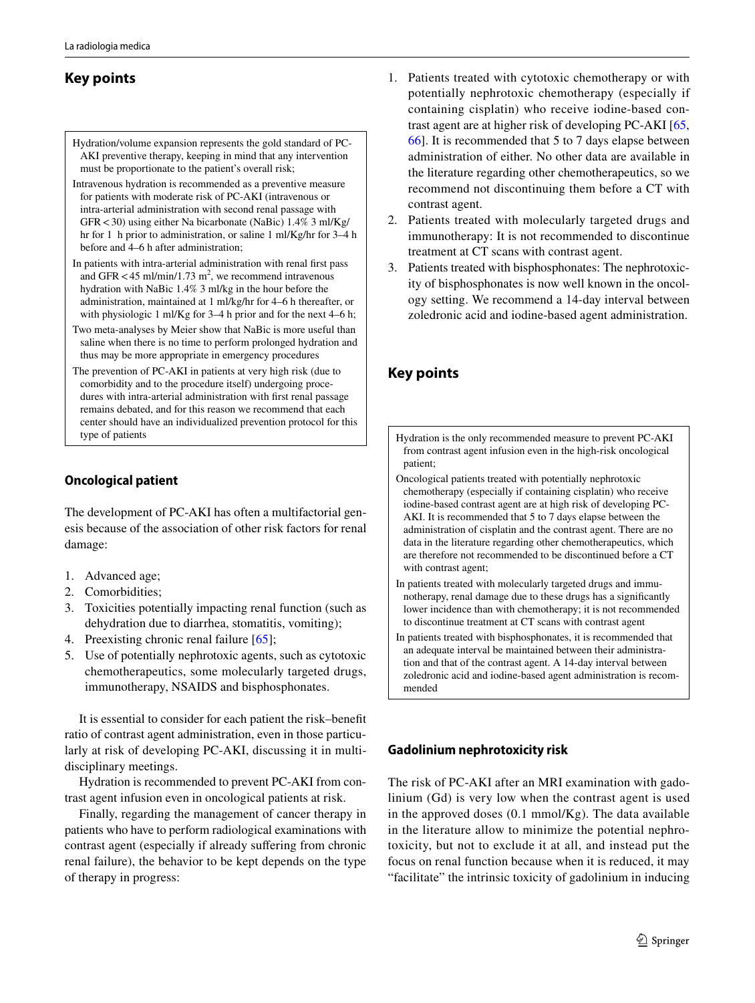# **Key points**

- Hydration/volume expansion represents the gold standard of PC-AKI preventive therapy, keeping in mind that any intervention must be proportionate to the patient's overall risk;
- Intravenous hydration is recommended as a preventive measure for patients with moderate risk of PC-AKI (intravenous or intra-arterial administration with second renal passage with GFR<30) using either Na bicarbonate (NaBic) 1.4% 3 ml/Kg/ hr for 1 h prior to administration, or saline 1 ml/Kg/hr for 3–4 h before and 4–6 h after administration;
- In patients with intra-arterial administration with renal frst pass and GFR  $<$  45 ml/min/1.73 m<sup>2</sup>, we recommend intravenous hydration with NaBic 1.4% 3 ml/kg in the hour before the administration, maintained at 1 ml/kg/hr for 4–6 h thereafter, or with physiologic 1 ml/Kg for 3–4 h prior and for the next 4–6 h;
- Two meta-analyses by Meier show that NaBic is more useful than saline when there is no time to perform prolonged hydration and thus may be more appropriate in emergency procedures
- The prevention of PC-AKI in patients at very high risk (due to comorbidity and to the procedure itself) undergoing procedures with intra-arterial administration with frst renal passage remains debated, and for this reason we recommend that each center should have an individualized prevention protocol for this type of patients

# **Oncological patient**

The development of PC-AKI has often a multifactorial genesis because of the association of other risk factors for renal damage:

- 1. Advanced age;
- 2. Comorbidities;
- 3. Toxicities potentially impacting renal function (such as dehydration due to diarrhea, stomatitis, vomiting);
- 4. Preexisting chronic renal failure [[65\]](#page-7-12);
- 5. Use of potentially nephrotoxic agents, such as cytotoxic chemotherapeutics, some molecularly targeted drugs, immunotherapy, NSAIDS and bisphosphonates.

It is essential to consider for each patient the risk–beneft ratio of contrast agent administration, even in those particularly at risk of developing PC-AKI, discussing it in multidisciplinary meetings.

Hydration is recommended to prevent PC-AKI from contrast agent infusion even in oncological patients at risk.

Finally, regarding the management of cancer therapy in patients who have to perform radiological examinations with contrast agent (especially if already sufering from chronic renal failure), the behavior to be kept depends on the type of therapy in progress:

- 1. Patients treated with cytotoxic chemotherapy or with potentially nephrotoxic chemotherapy (especially if containing cisplatin) who receive iodine-based contrast agent are at higher risk of developing PC-AKI [[65,](#page-7-12) [66](#page-7-13)]. It is recommended that 5 to 7 days elapse between administration of either. No other data are available in the literature regarding other chemotherapeutics, so we recommend not discontinuing them before a CT with contrast agent.
- 2. Patients treated with molecularly targeted drugs and immunotherapy: It is not recommended to discontinue treatment at CT scans with contrast agent.
- 3. Patients treated with bisphosphonates: The nephrotoxicity of bisphosphonates is now well known in the oncology setting. We recommend a 14-day interval between zoledronic acid and iodine-based agent administration.

# **Key points**

Hydration is the only recommended measure to prevent PC-AKI from contrast agent infusion even in the high-risk oncological patient;

- Oncological patients treated with potentially nephrotoxic chemotherapy (especially if containing cisplatin) who receive iodine-based contrast agent are at high risk of developing PC-AKI. It is recommended that 5 to 7 days elapse between the administration of cisplatin and the contrast agent. There are no data in the literature regarding other chemotherapeutics, which are therefore not recommended to be discontinued before a CT with contrast agent;
- In patients treated with molecularly targeted drugs and immunotherapy, renal damage due to these drugs has a signifcantly lower incidence than with chemotherapy; it is not recommended to discontinue treatment at CT scans with contrast agent
- In patients treated with bisphosphonates, it is recommended that an adequate interval be maintained between their administration and that of the contrast agent. A 14-day interval between zoledronic acid and iodine-based agent administration is recommended

# **Gadolinium nephrotoxicity risk**

The risk of PC-AKI after an MRI examination with gadolinium (Gd) is very low when the contrast agent is used in the approved doses (0.1 mmol/Kg). The data available in the literature allow to minimize the potential nephrotoxicity, but not to exclude it at all, and instead put the focus on renal function because when it is reduced, it may "facilitate" the intrinsic toxicity of gadolinium in inducing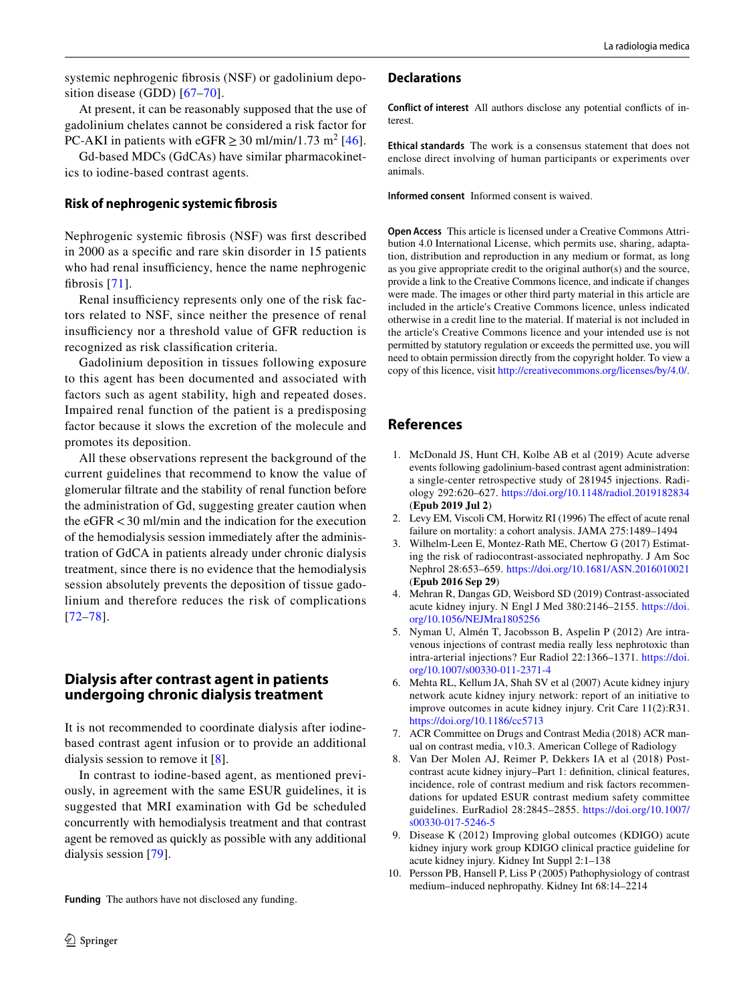systemic nephrogenic fbrosis (NSF) or gadolinium deposition disease (GDD) [[67](#page-7-14)–[70](#page-7-15)].

At present, it can be reasonably supposed that the use of gadolinium chelates cannot be considered a risk factor for PC-AKI in patients with eGFR  $\geq$  30 ml/min/1.73 m<sup>2</sup> [[46](#page-7-1)].

Gd-based MDCs (GdCAs) have similar pharmacokinetics to iodine-based contrast agents.

#### **Risk of nephrogenic systemic fbrosis**

Nephrogenic systemic fbrosis (NSF) was frst described in 2000 as a specifc and rare skin disorder in 15 patients who had renal insufficiency, hence the name nephrogenic fbrosis [[71](#page-7-16)].

Renal insufficiency represents only one of the risk factors related to NSF, since neither the presence of renal insufficiency nor a threshold value of GFR reduction is recognized as risk classifcation criteria.

Gadolinium deposition in tissues following exposure to this agent has been documented and associated with factors such as agent stability, high and repeated doses. Impaired renal function of the patient is a predisposing factor because it slows the excretion of the molecule and promotes its deposition.

All these observations represent the background of the current guidelines that recommend to know the value of glomerular fltrate and the stability of renal function before the administration of Gd, suggesting greater caution when the eGFR<30 ml/min and the indication for the execution of the hemodialysis session immediately after the administration of GdCA in patients already under chronic dialysis treatment, since there is no evidence that the hemodialysis session absolutely prevents the deposition of tissue gadolinium and therefore reduces the risk of complications [[72–](#page-7-17)[78](#page-8-0)].

# **Dialysis after contrast agent in patients undergoing chronic dialysis treatment**

It is not recommended to coordinate dialysis after iodinebased contrast agent infusion or to provide an additional dialysis session to remove it [[8\]](#page-5-3).

In contrast to iodine-based agent, as mentioned previously, in agreement with the same ESUR guidelines, it is suggested that MRI examination with Gd be scheduled concurrently with hemodialysis treatment and that contrast agent be removed as quickly as possible with any additional dialysis session [\[79](#page-8-1)].

**Funding** The authors have not disclosed any funding.

#### **Declarations**

**Conflict of interest** All authors disclose any potential conficts of interest.

**Ethical standards** The work is a consensus statement that does not enclose direct involving of human participants or experiments over animals.

**Informed consent** Informed consent is waived.

**Open Access** This article is licensed under a Creative Commons Attribution 4.0 International License, which permits use, sharing, adaptation, distribution and reproduction in any medium or format, as long as you give appropriate credit to the original author(s) and the source, provide a link to the Creative Commons licence, and indicate if changes were made. The images or other third party material in this article are included in the article's Creative Commons licence, unless indicated otherwise in a credit line to the material. If material is not included in the article's Creative Commons licence and your intended use is not permitted by statutory regulation or exceeds the permitted use, you will need to obtain permission directly from the copyright holder. To view a copy of this licence, visit<http://creativecommons.org/licenses/by/4.0/>.

# **References**

- <span id="page-5-0"></span>1. McDonald JS, Hunt CH, Kolbe AB et al (2019) Acute adverse events following gadolinium-based contrast agent administration: a single-center retrospective study of 281945 injections. Radiology 292:620–627. <https://doi.org/10.1148/radiol.2019182834> (**Epub 2019 Jul 2**)
- <span id="page-5-1"></span>2. Levy EM, Viscoli CM, Horwitz RI (1996) The effect of acute renal failure on mortality: a cohort analysis. JAMA 275:1489–1494
- <span id="page-5-2"></span>3. Wilhelm-Leen E, Montez-Rath ME, Chertow G (2017) Estimating the risk of radiocontrast-associated nephropathy. J Am Soc Nephrol 28:653–659. <https://doi.org/10.1681/ASN.2016010021> (**Epub 2016 Sep 29**)
- 4. Mehran R, Dangas GD, Weisbord SD (2019) Contrast-associated acute kidney injury. N Engl J Med 380:2146–2155. [https://doi.](https://doi.org/10.1056/NEJMra1805256) [org/10.1056/NEJMra1805256](https://doi.org/10.1056/NEJMra1805256)
- 5. Nyman U, Almén T, Jacobsson B, Aspelin P (2012) Are intravenous injections of contrast media really less nephrotoxic than intra-arterial injections? Eur Radiol 22:1366–1371. [https://doi.](https://doi.org/10.1007/s00330-011-2371-4) [org/10.1007/s00330-011-2371-4](https://doi.org/10.1007/s00330-011-2371-4)
- 6. Mehta RL, Kellum JA, Shah SV et al (2007) Acute kidney injury network acute kidney injury network: report of an initiative to improve outcomes in acute kidney injury. Crit Care 11(2):R31. <https://doi.org/10.1186/cc5713>
- 7. ACR Committee on Drugs and Contrast Media (2018) ACR manual on contrast media, v10.3. American College of Radiology
- <span id="page-5-3"></span>Van Der Molen AJ, Reimer P, Dekkers IA et al (2018) Postcontrast acute kidney injury–Part 1: defnition, clinical features, incidence, role of contrast medium and risk factors recommendations for updated ESUR contrast medium safety committee guidelines. EurRadiol 28:2845–2855. [https://doi.org/10.1007/](https://doi.org/10.1007/s00330-017-5246-5) [s00330-017-5246-5](https://doi.org/10.1007/s00330-017-5246-5)
- <span id="page-5-4"></span>9. Disease K (2012) Improving global outcomes (KDIGO) acute kidney injury work group KDIGO clinical practice guideline for acute kidney injury. Kidney Int Suppl 2:1–138
- <span id="page-5-5"></span>10. Persson PB, Hansell P, Liss P (2005) Pathophysiology of contrast medium–induced nephropathy. Kidney Int 68:14–2214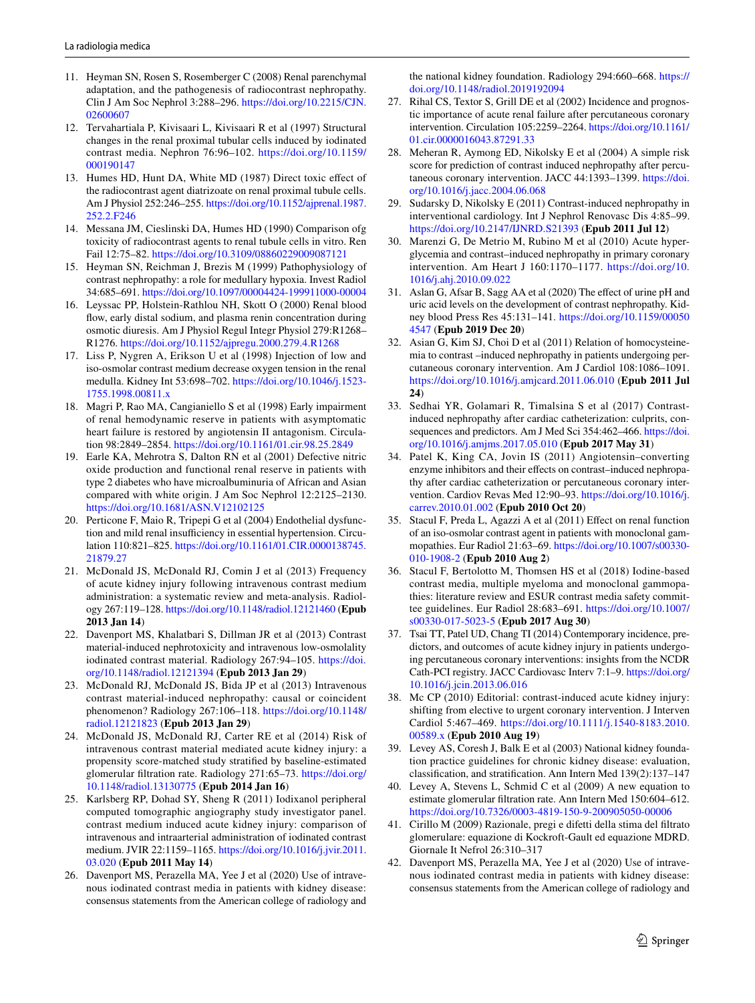- <span id="page-6-0"></span>11. Heyman SN, Rosen S, Rosemberger C (2008) Renal parenchymal adaptation, and the pathogenesis of radiocontrast nephropathy. Clin J Am Soc Nephrol 3:288–296. [https://doi.org/10.2215/CJN.](https://doi.org/10.2215/CJN.02600607) [02600607](https://doi.org/10.2215/CJN.02600607)
- 12. Tervahartiala P, Kivisaari L, Kivisaari R et al (1997) Structural changes in the renal proximal tubular cells induced by iodinated contrast media. Nephron 76:96–102. [https://doi.org/10.1159/](https://doi.org/10.1159/000190147) [000190147](https://doi.org/10.1159/000190147)
- 13. Humes HD, Hunt DA, White MD (1987) Direct toxic efect of the radiocontrast agent diatrizoate on renal proximal tubule cells. Am J Physiol 252:246–255. [https://doi.org/10.1152/ajprenal.1987.](https://doi.org/10.1152/ajprenal.1987.252.2.F246) [252.2.F246](https://doi.org/10.1152/ajprenal.1987.252.2.F246)
- 14. Messana JM, Cieslinski DA, Humes HD (1990) Comparison ofg toxicity of radiocontrast agents to renal tubule cells in vitro. Ren Fail 12:75–82.<https://doi.org/10.3109/08860229009087121>
- 15. Heyman SN, Reichman J, Brezis M (1999) Pathophysiology of contrast nephropathy: a role for medullary hypoxia. Invest Radiol 34:685–691.<https://doi.org/10.1097/00004424-199911000-00004>
- 16. Leyssac PP, Holstein-Rathlou NH, Skott O (2000) Renal blood fow, early distal sodium, and plasma renin concentration during osmotic diuresis. Am J Physiol Regul Integr Physiol 279:R1268– R1276.<https://doi.org/10.1152/ajpregu.2000.279.4.R1268>
- <span id="page-6-1"></span>17. Liss P, Nygren A, Erikson U et al (1998) Injection of low and iso-osmolar contrast medium decrease oxygen tension in the renal medulla. Kidney Int 53:698–702. [https://doi.org/10.1046/j.1523-](https://doi.org/10.1046/j.1523-1755.1998.00811.x) [1755.1998.00811.x](https://doi.org/10.1046/j.1523-1755.1998.00811.x)
- <span id="page-6-2"></span>18. Magri P, Rao MA, Cangianiello S et al (1998) Early impairment of renal hemodynamic reserve in patients with asymptomatic heart failure is restored by angiotensin II antagonism. Circulation 98:2849–2854.<https://doi.org/10.1161/01.cir.98.25.2849>
- 19. Earle KA, Mehrotra S, Dalton RN et al (2001) Defective nitric oxide production and functional renal reserve in patients with type 2 diabetes who have microalbuminuria of African and Asian compared with white origin. J Am Soc Nephrol 12:2125–2130. <https://doi.org/10.1681/ASN.V12102125>
- <span id="page-6-3"></span>20. Perticone F, Maio R, Tripepi G et al (2004) Endothelial dysfunction and mild renal insufficiency in essential hypertension. Circulation 110:821–825. [https://doi.org/10.1161/01.CIR.0000138745.](https://doi.org/10.1161/01.CIR.0000138745.21879.27) [21879.27](https://doi.org/10.1161/01.CIR.0000138745.21879.27)
- <span id="page-6-4"></span>21. McDonald JS, McDonald RJ, Comin J et al (2013) Frequency of acute kidney injury following intravenous contrast medium administration: a systematic review and meta-analysis. Radiology 267:119–128.<https://doi.org/10.1148/radiol.12121460>(**Epub 2013 Jan 14**)
- 22. Davenport MS, Khalatbari S, Dillman JR et al (2013) Contrast material-induced nephrotoxicity and intravenous low-osmolality iodinated contrast material. Radiology 267:94–105. [https://doi.](https://doi.org/10.1148/radiol.12121394) [org/10.1148/radiol.12121394](https://doi.org/10.1148/radiol.12121394) (**Epub 2013 Jan 29**)
- 23. McDonald RJ, McDonald JS, Bida JP et al (2013) Intravenous contrast material-induced nephropathy: causal or coincident phenomenon? Radiology 267:106–118. [https://doi.org/10.1148/](https://doi.org/10.1148/radiol.12121823) [radiol.12121823](https://doi.org/10.1148/radiol.12121823) (**Epub 2013 Jan 29**)
- 24. McDonald JS, McDonald RJ, Carter RE et al (2014) Risk of intravenous contrast material mediated acute kidney injury: a propensity score-matched study stratifed by baseline-estimated glomerular fltration rate. Radiology 271:65–73. [https://doi.org/](https://doi.org/10.1148/radiol.13130775) [10.1148/radiol.13130775](https://doi.org/10.1148/radiol.13130775) (**Epub 2014 Jan 16**)
- <span id="page-6-6"></span>25. Karlsberg RP, Dohad SY, Sheng R (2011) Iodixanol peripheral computed tomographic angiography study investigator panel. contrast medium induced acute kidney injury: comparison of intravenous and intraarterial administration of iodinated contrast medium. JVIR 22:1159–1165. [https://doi.org/10.1016/j.jvir.2011.](https://doi.org/10.1016/j.jvir.2011.03.020) [03.020](https://doi.org/10.1016/j.jvir.2011.03.020) (**Epub 2011 May 14**)
- <span id="page-6-5"></span>26. Davenport MS, Perazella MA, Yee J et al (2020) Use of intravenous iodinated contrast media in patients with kidney disease: consensus statements from the American college of radiology and

the national kidney foundation. Radiology 294:660–668. [https://](https://doi.org/10.1148/radiol.2019192094) [doi.org/10.1148/radiol.2019192094](https://doi.org/10.1148/radiol.2019192094)

- <span id="page-6-7"></span>27. Rihal CS, Textor S, Grill DE et al (2002) Incidence and prognostic importance of acute renal failure after percutaneous coronary intervention. Circulation 105:2259–2264. [https://doi.org/10.1161/](https://doi.org/10.1161/01.cir.0000016043.87291.33) [01.cir.0000016043.87291.33](https://doi.org/10.1161/01.cir.0000016043.87291.33)
- 28. Meheran R, Aymong ED, Nikolsky E et al (2004) A simple risk score for prediction of contrast induced nephropathy after percutaneous coronary intervention. JACC 44:1393–1399. [https://doi.](https://doi.org/10.1016/j.jacc.2004.06.068) [org/10.1016/j.jacc.2004.06.068](https://doi.org/10.1016/j.jacc.2004.06.068)
- <span id="page-6-8"></span>29. Sudarsky D, Nikolsky E (2011) Contrast-induced nephropathy in interventional cardiology. Int J Nephrol Renovasc Dis 4:85–99. <https://doi.org/10.2147/IJNRD.S21393>(**Epub 2011 Jul 12**)
- <span id="page-6-9"></span>30. Marenzi G, De Metrio M, Rubino M et al (2010) Acute hyperglycemia and contrast–induced nephropathy in primary coronary intervention. Am Heart J 160:1170–1177. [https://doi.org/10.](https://doi.org/10.1016/j.ahj.2010.09.022) [1016/j.ahj.2010.09.022](https://doi.org/10.1016/j.ahj.2010.09.022)
- <span id="page-6-10"></span>31. Aslan G, Afsar B, Sagg AA et al (2020) The efect of urine pH and uric acid levels on the development of contrast nephropathy. Kidney blood Press Res 45:131–141. [https://doi.org/10.1159/00050](https://doi.org/10.1159/000504547) [4547](https://doi.org/10.1159/000504547) (**Epub 2019 Dec 20**)
- <span id="page-6-11"></span>32. Asian G, Kim SJ, Choi D et al (2011) Relation of homocysteinemia to contrast –induced nephropathy in patients undergoing percutaneous coronary intervention. Am J Cardiol 108:1086–1091. <https://doi.org/10.1016/j.amjcard.2011.06.010>(**Epub 2011 Jul 24**)
- <span id="page-6-12"></span>33. Sedhai YR, Golamari R, Timalsina S et al (2017) Contrastinduced nephropathy after cardiac catheterization: culprits, consequences and predictors. Am J Med Sci 354:462–466. [https://doi.](https://doi.org/10.1016/j.amjms.2017.05.010) [org/10.1016/j.amjms.2017.05.010](https://doi.org/10.1016/j.amjms.2017.05.010) (**Epub 2017 May 31**)
- <span id="page-6-13"></span>34. Patel K, King CA, Jovin IS (2011) Angiotensin–converting enzyme inhibitors and their efects on contrast–induced nephropathy after cardiac catheterization or percutaneous coronary intervention. Cardiov Revas Med 12:90–93. [https://doi.org/10.1016/j.](https://doi.org/10.1016/j.carrev.2010.01.002) [carrev.2010.01.002](https://doi.org/10.1016/j.carrev.2010.01.002) (**Epub 2010 Oct 20**)
- <span id="page-6-14"></span>35. Stacul F, Preda L, Agazzi A et al (2011) Efect on renal function of an iso-osmolar contrast agent in patients with monoclonal gammopathies. Eur Radiol 21:63–69. [https://doi.org/10.1007/s00330-](https://doi.org/10.1007/s00330-010-1908-2) [010-1908-2](https://doi.org/10.1007/s00330-010-1908-2) (**Epub 2010 Aug 2**)
- <span id="page-6-15"></span>36. Stacul F, Bertolotto M, Thomsen HS et al (2018) Iodine-based contrast media, multiple myeloma and monoclonal gammopathies: literature review and ESUR contrast media safety committee guidelines. Eur Radiol 28:683–691. [https://doi.org/10.1007/](https://doi.org/10.1007/s00330-017-5023-5) [s00330-017-5023-5](https://doi.org/10.1007/s00330-017-5023-5) (**Epub 2017 Aug 30**)
- <span id="page-6-16"></span>37. Tsai TT, Patel UD, Chang TI (2014) Contemporary incidence, predictors, and outcomes of acute kidney injury in patients undergoing percutaneous coronary interventions: insights from the NCDR Cath-PCI registry. JACC Cardiovasc Interv 7:1–9. [https://doi.org/](https://doi.org/10.1016/j.jcin.2013.06.016) [10.1016/j.jcin.2013.06.016](https://doi.org/10.1016/j.jcin.2013.06.016)
- <span id="page-6-17"></span>38. Mc CP (2010) Editorial: contrast-induced acute kidney injury: shifting from elective to urgent coronary intervention. J Interven Cardiol 5:467–469. [https://doi.org/10.1111/j.1540-8183.2010.](https://doi.org/10.1111/j.1540-8183.2010.00589.x) [00589.x](https://doi.org/10.1111/j.1540-8183.2010.00589.x) (**Epub 2010 Aug 19**)
- <span id="page-6-18"></span>39. Levey AS, Coresh J, Balk E et al (2003) National kidney foundation practice guidelines for chronic kidney disease: evaluation, classifcation, and stratifcation. Ann Intern Med 139(2):137–147
- <span id="page-6-19"></span>40. Levey A, Stevens L, Schmid C et al (2009) A new equation to estimate glomerular fltration rate. Ann Intern Med 150:604–612. <https://doi.org/10.7326/0003-4819-150-9-200905050-00006>
- <span id="page-6-20"></span>41. Cirillo M (2009) Razionale, pregi e difetti della stima del fltrato glomerulare: equazione di Kockroft-Gault ed equazione MDRD. Giornale It Nefrol 26:310–317
- <span id="page-6-21"></span>42. Davenport MS, Perazella MA, Yee J et al (2020) Use of intravenous iodinated contrast media in patients with kidney disease: consensus statements from the American college of radiology and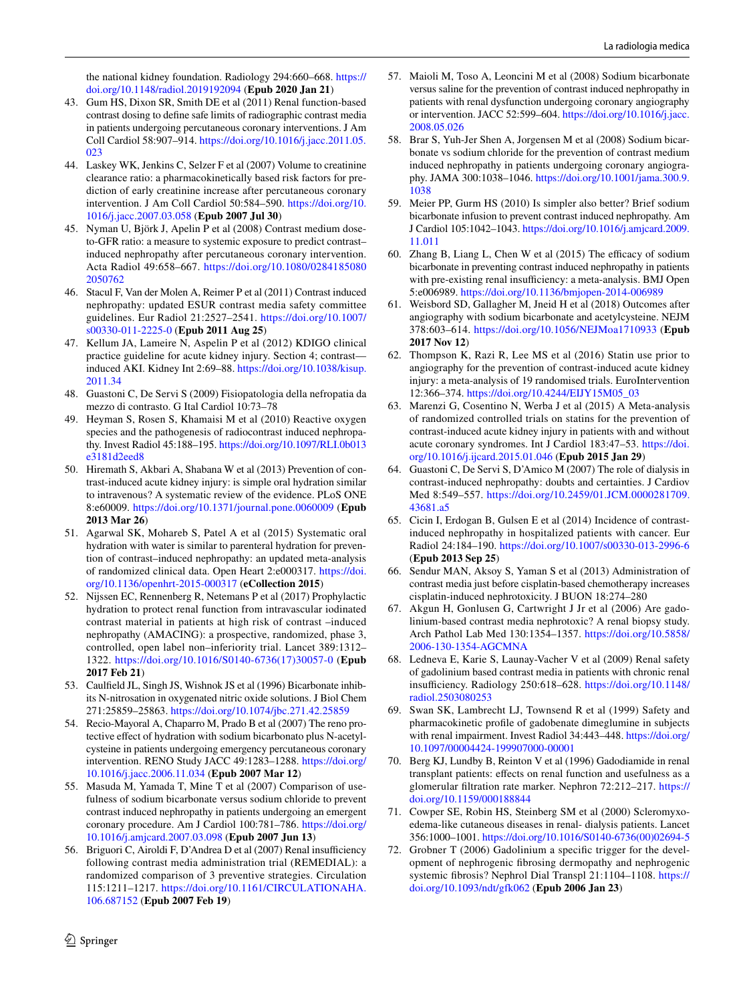the national kidney foundation. Radiology 294:660–668. [https://](https://doi.org/10.1148/radiol.2019192094) [doi.org/10.1148/radiol.2019192094](https://doi.org/10.1148/radiol.2019192094) (**Epub 2020 Jan 21**)

- 43. Gum HS, Dixon SR, Smith DE et al (2011) Renal function-based contrast dosing to defne safe limits of radiographic contrast media in patients undergoing percutaneous coronary interventions. J Am Coll Cardiol 58:907–914. [https://doi.org/10.1016/j.jacc.2011.05.](https://doi.org/10.1016/j.jacc.2011.05.023) [023](https://doi.org/10.1016/j.jacc.2011.05.023)
- 44. Laskey WK, Jenkins C, Selzer F et al (2007) Volume to creatinine clearance ratio: a pharmacokinetically based risk factors for prediction of early creatinine increase after percutaneous coronary intervention. J Am Coll Cardiol 50:584–590. [https://doi.org/10.](https://doi.org/10.1016/j.jacc.2007.03.058) [1016/j.jacc.2007.03.058](https://doi.org/10.1016/j.jacc.2007.03.058) (**Epub 2007 Jul 30**)
- <span id="page-7-0"></span>45. Nyman U, Björk J, Apelin P et al (2008) Contrast medium doseto-GFR ratio: a measure to systemic exposure to predict contrast– induced nephropathy after percutaneous coronary intervention. Acta Radiol 49:658–667. [https://doi.org/10.1080/0284185080](https://doi.org/10.1080/02841850802050762) [2050762](https://doi.org/10.1080/02841850802050762)
- <span id="page-7-1"></span>46. Stacul F, Van der Molen A, Reimer P et al (2011) Contrast induced nephropathy: updated ESUR contrast media safety committee guidelines. Eur Radiol 21:2527–2541. [https://doi.org/10.1007/](https://doi.org/10.1007/s00330-011-2225-0) [s00330-011-2225-0](https://doi.org/10.1007/s00330-011-2225-0) (**Epub 2011 Aug 25**)
- 47. Kellum JA, Lameire N, Aspelin P et al (2012) KDIGO clinical practice guideline for acute kidney injury. Section 4; contrast induced AKI. Kidney Int 2:69–88. [https://doi.org/10.1038/kisup.](https://doi.org/10.1038/kisup.2011.34) [2011.34](https://doi.org/10.1038/kisup.2011.34)
- 48. Guastoni C, De Servi S (2009) Fisiopatologia della nefropatia da mezzo di contrasto. G Ital Cardiol 10:73–78
- 49. Heyman S, Rosen S, Khamaisi M et al (2010) Reactive oxygen species and the pathogenesis of radiocontrast induced nephropathy. Invest Radiol 45:188–195. [https://doi.org/10.1097/RLI.0b013](https://doi.org/10.1097/RLI.0b013e3181d2eed8) [e3181d2eed8](https://doi.org/10.1097/RLI.0b013e3181d2eed8)
- <span id="page-7-3"></span>50. Hiremath S, Akbari A, Shabana W et al (2013) Prevention of contrast-induced acute kidney injury: is simple oral hydration similar to intravenous? A systematic review of the evidence. PLoS ONE 8:e60009. <https://doi.org/10.1371/journal.pone.0060009>(**Epub 2013 Mar 26**)
- <span id="page-7-4"></span>51. Agarwal SK, Mohareb S, Patel A et al (2015) Systematic oral hydration with water is similar to parenteral hydration for prevention of contrast–induced nephropathy: an updated meta-analysis of randomized clinical data. Open Heart 2:e000317. [https://doi.](https://doi.org/10.1136/openhrt-2015-000317) [org/10.1136/openhrt-2015-000317](https://doi.org/10.1136/openhrt-2015-000317) (**eCollection 2015**)
- <span id="page-7-2"></span>52. Nijssen EC, Rennenberg R, Netemans P et al (2017) Prophylactic hydration to protect renal function from intravascular iodinated contrast material in patients at high risk of contrast –induced nephropathy (AMACING): a prospective, randomized, phase 3, controlled, open label non–inferiority trial. Lancet 389:1312– 1322. [https://doi.org/10.1016/S0140-6736\(17\)30057-0](https://doi.org/10.1016/S0140-6736(17)30057-0) (**Epub 2017 Feb 21**)
- <span id="page-7-5"></span>53. Caulfeld JL, Singh JS, Wishnok JS et al (1996) Bicarbonate inhibits N-nitrosation in oxygenated nitric oxide solutions. J Biol Chem 271:25859–25863. <https://doi.org/10.1074/jbc.271.42.25859>
- 54. Recio-Mayoral A, Chaparro M, Prado B et al (2007) The reno protective efect of hydration with sodium bicarbonato plus N-acetylcysteine in patients undergoing emergency percutaneous coronary intervention. RENO Study JACC 49:1283–1288. [https://doi.org/](https://doi.org/10.1016/j.jacc.2006.11.034) [10.1016/j.jacc.2006.11.034](https://doi.org/10.1016/j.jacc.2006.11.034) (**Epub 2007 Mar 12**)
- 55. Masuda M, Yamada T, Mine T et al (2007) Comparison of usefulness of sodium bicarbonate versus sodium chloride to prevent contrast induced nephropathy in patients undergoing an emergent coronary procedure. Am J Cardiol 100:781–786. [https://doi.org/](https://doi.org/10.1016/j.amjcard.2007.03.098) [10.1016/j.amjcard.2007.03.098](https://doi.org/10.1016/j.amjcard.2007.03.098) (**Epub 2007 Jun 13**)
- 56. Briguori C, Airoldi F, D'Andrea D et al (2007) Renal insufficiency following contrast media administration trial (REMEDIAL): a randomized comparison of 3 preventive strategies. Circulation 115:1211–1217. [https://doi.org/10.1161/CIRCULATIONAHA.](https://doi.org/10.1161/CIRCULATIONAHA.106.687152) [106.687152](https://doi.org/10.1161/CIRCULATIONAHA.106.687152) (**Epub 2007 Feb 19**)
- 57. Maioli M, Toso A, Leoncini M et al (2008) Sodium bicarbonate versus saline for the prevention of contrast induced nephropathy in patients with renal dysfunction undergoing coronary angiography or intervention. JACC 52:599–604. [https://doi.org/10.1016/j.jacc.](https://doi.org/10.1016/j.jacc.2008.05.026) [2008.05.026](https://doi.org/10.1016/j.jacc.2008.05.026)
- 58. Brar S, Yuh-Jer Shen A, Jorgensen M et al (2008) Sodium bicarbonate vs sodium chloride for the prevention of contrast medium induced nephropathy in patients undergoing coronary angiography. JAMA 300:1038–1046. [https://doi.org/10.1001/jama.300.9.](https://doi.org/10.1001/jama.300.9.1038) [1038](https://doi.org/10.1001/jama.300.9.1038)
- <span id="page-7-7"></span>59. Meier PP, Gurm HS (2010) Is simpler also better? Brief sodium bicarbonate infusion to prevent contrast induced nephropathy. Am J Cardiol 105:1042–1043. [https://doi.org/10.1016/j.amjcard.2009.](https://doi.org/10.1016/j.amjcard.2009.11.011) [11.011](https://doi.org/10.1016/j.amjcard.2009.11.011)
- <span id="page-7-8"></span>60. Zhang B, Liang L, Chen W et al  $(2015)$  The efficacy of sodium bicarbonate in preventing contrast induced nephropathy in patients with pre-existing renal insufficiency: a meta-analysis. BMJ Open 5:e006989. <https://doi.org/10.1136/bmjopen-2014-006989>
- <span id="page-7-6"></span>61. Weisbord SD, Gallagher M, Jneid H et al (2018) Outcomes after angiography with sodium bicarbonate and acetylcysteine. NEJM 378:603–614. <https://doi.org/10.1056/NEJMoa1710933>(**Epub 2017 Nov 12**)
- <span id="page-7-9"></span>62. Thompson K, Razi R, Lee MS et al (2016) Statin use prior to angiography for the prevention of contrast-induced acute kidney injury: a meta-analysis of 19 randomised trials. EuroIntervention 12:366–374. [https://doi.org/10.4244/EIJY15M05\\_03](https://doi.org/10.4244/EIJY15M05_03)
- <span id="page-7-10"></span>63. Marenzi G, Cosentino N, Werba J et al (2015) A Meta-analysis of randomized controlled trials on statins for the prevention of contrast-induced acute kidney injury in patients with and without acute coronary syndromes. Int J Cardiol 183:47–53. [https://doi.](https://doi.org/10.1016/j.ijcard.2015.01.046) [org/10.1016/j.ijcard.2015.01.046](https://doi.org/10.1016/j.ijcard.2015.01.046) (**Epub 2015 Jan 29**)
- <span id="page-7-11"></span>64. Guastoni C, De Servi S, D'Amico M (2007) The role of dialysis in contrast-induced nephropathy: doubts and certainties. J Cardiov Med 8:549–557. [https://doi.org/10.2459/01.JCM.0000281709.](https://doi.org/10.2459/01.JCM.0000281709.43681.a5) [43681.a5](https://doi.org/10.2459/01.JCM.0000281709.43681.a5)
- <span id="page-7-12"></span>65. Cicin I, Erdogan B, Gulsen E et al (2014) Incidence of contrastinduced nephropathy in hospitalized patients with cancer. Eur Radiol 24:184–190.<https://doi.org/10.1007/s00330-013-2996-6> (**Epub 2013 Sep 25**)
- <span id="page-7-13"></span>66. Sendur MAN, Aksoy S, Yaman S et al (2013) Administration of contrast media just before cisplatin-based chemotherapy increases cisplatin-induced nephrotoxicity. J BUON 18:274–280
- <span id="page-7-14"></span>67. Akgun H, Gonlusen G, Cartwright J Jr et al (2006) Are gadolinium-based contrast media nephrotoxic? A renal biopsy study. Arch Pathol Lab Med 130:1354–1357. [https://doi.org/10.5858/](https://doi.org/10.5858/2006-130-1354-AGCMNA) [2006-130-1354-AGCMNA](https://doi.org/10.5858/2006-130-1354-AGCMNA)
- 68. Ledneva E, Karie S, Launay-Vacher V et al (2009) Renal safety of gadolinium based contrast media in patients with chronic renal insufficiency. Radiology 250:618-628. [https://doi.org/10.1148/](https://doi.org/10.1148/radiol.2503080253) [radiol.2503080253](https://doi.org/10.1148/radiol.2503080253)
- 69. Swan SK, Lambrecht LJ, Townsend R et al (1999) Safety and pharmacokinetic profle of gadobenate dimeglumine in subjects with renal impairment. Invest Radiol 34:443–448. [https://doi.org/](https://doi.org/10.1097/00004424-199907000-00001) [10.1097/00004424-199907000-00001](https://doi.org/10.1097/00004424-199907000-00001)
- <span id="page-7-15"></span>70. Berg KJ, Lundby B, Reinton V et al (1996) Gadodiamide in renal transplant patients: efects on renal function and usefulness as a glomerular fltration rate marker. Nephron 72:212–217. [https://](https://doi.org/10.1159/000188844) [doi.org/10.1159/000188844](https://doi.org/10.1159/000188844)
- <span id="page-7-16"></span>71. Cowper SE, Robin HS, Steinberg SM et al (2000) Scleromyxoedema-like cutaneous diseases in renal- dialysis patients. Lancet 356:1000–1001. [https://doi.org/10.1016/S0140-6736\(00\)02694-5](https://doi.org/10.1016/S0140-6736(00)02694-5)
- <span id="page-7-17"></span>72. Grobner T (2006) Gadolinium a specifc trigger for the development of nephrogenic fbrosing dermopathy and nephrogenic systemic fbrosis? Nephrol Dial Transpl 21:1104–1108. [https://](https://doi.org/10.1093/ndt/gfk062) [doi.org/10.1093/ndt/gfk062](https://doi.org/10.1093/ndt/gfk062) (**Epub 2006 Jan 23**)